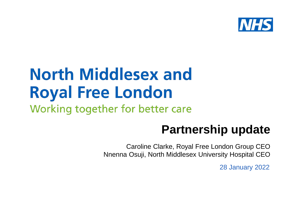

#### **North Middlesex and Royal Free London** Working together for better care

#### **Partnership update**

Caroline Clarke, Royal Free London Group CEO Nnenna Osuji, North Middlesex University Hospital CEO

28 January 2022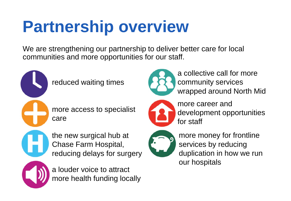# **Partnership overview**

We are strengthening our partnership to deliver better care for local communities and more opportunities for our staff.



more access to specialist care

the new surgical hub at Chase Farm Hospital, reducing delays for surgery



a louder voice to attract more health funding locally



a collective call for more community services wrapped around North Mid



more career and development opportunities for staff



more money for frontline services by reducing duplication in how we run our hospitals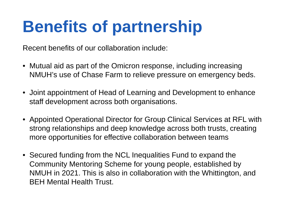## **Benefits of partnership**

Recent benefits of our collaboration include:

- Mutual aid as part of the Omicron response, including increasing NMUH's use of Chase Farm to relieve pressure on emergency beds.
- Joint appointment of Head of Learning and Development to enhance staff development across both organisations.
- Appointed Operational Director for Group Clinical Services at RFL with strong relationships and deep knowledge across both trusts, creating more opportunities for effective collaboration between teams
- Secured funding from the NCL Inequalities Fund to expand the Community Mentoring Scheme for young people, established by NMUH in 2021. This is also in collaboration with the Whittington, and BEH Mental Health Trust.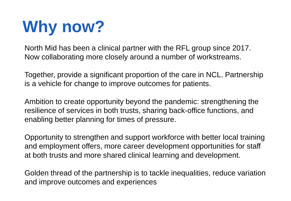# **Why now?**

North Mid has been a clinical partner with the RFL group since 2017. Now collaborating more closely around a number of workstreams.

Together, provide a significant proportion of the care in NCL. Partnership is a vehicle for change to improve outcomes for patients.

Ambition to create opportunity beyond the pandemic: strengthening the resilience of services in both trusts, sharing back-office functions, and enabling better planning for times of pressure.

Opportunity to strengthen and support workforce with better local training and employment offers, more career development opportunities for staff at both trusts and more shared clinical learning and development.

Golden thread of the partnership is to tackle inequalities, reduce variation and improve outcomes and experiences